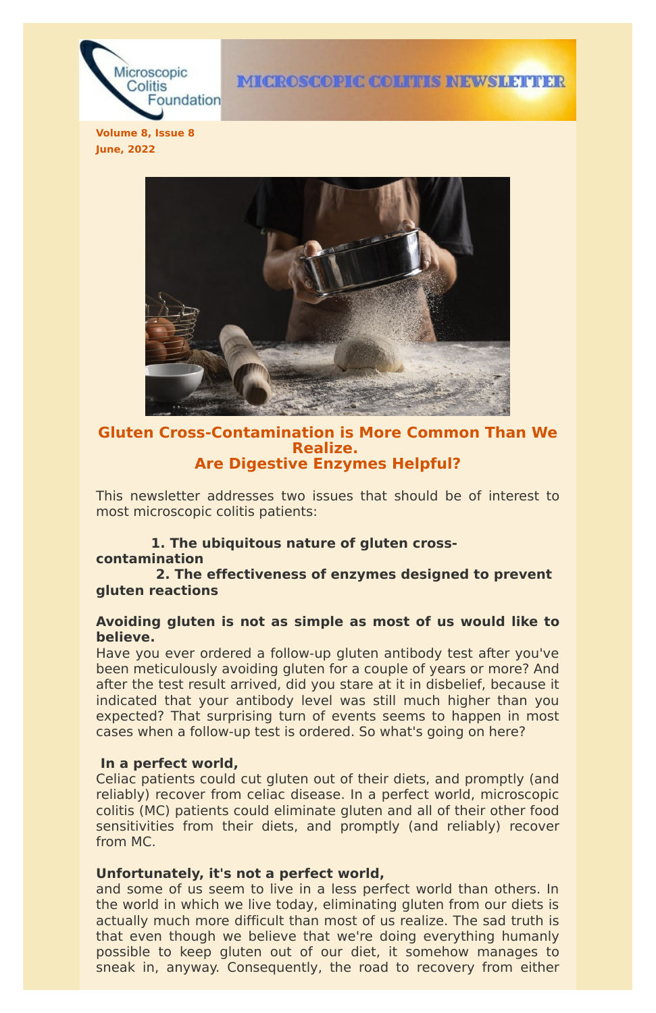

**IMICROSCOPIC COLITIES INEWSILETTER** 

**Volume 8, Issue 8 June, 2022**



# **Gluten Cross-Contamination is More Common Than We Realize. Are Digestive Enzymes Helpful?**

This newsletter addresses two issues that should be of interest to most microscopic colitis patients:

# **1. The ubiquitous nature of gluten cross-**

#### **contamination**

**2. The effectiveness of enzymes designed to prevent gluten reactions**

# **Avoiding gluten is not as simple as most of us would like to believe.**

Have you ever ordered a follow-up gluten antibody test after you've been meticulously avoiding gluten for a couple of years or more? And after the test result arrived, did you stare at it in disbelief, because it indicated that your antibody level was still much higher than you expected? That surprising turn of events seems to happen in most cases when a follow-up test is ordered. So what's going on here?

#### **In a perfect world,**

Celiac patients could cut gluten out of their diets, and promptly (and reliably) recover from celiac disease. In a perfect world, microscopic colitis (MC) patients could eliminate gluten and all of their other food sensitivities from their diets, and promptly (and reliably) recover from MC.

# **Unfortunately, it's not a perfect world,**

and some of us seem to live in a less perfect world than others. In the world in which we live today, eliminating gluten from our diets is actually much more difficult than most of us realize. The sad truth is that even though we believe that we're doing everything humanly possible to keep gluten out of our diet, it somehow manages to sneak in, anyway. Consequently, the road to recovery from either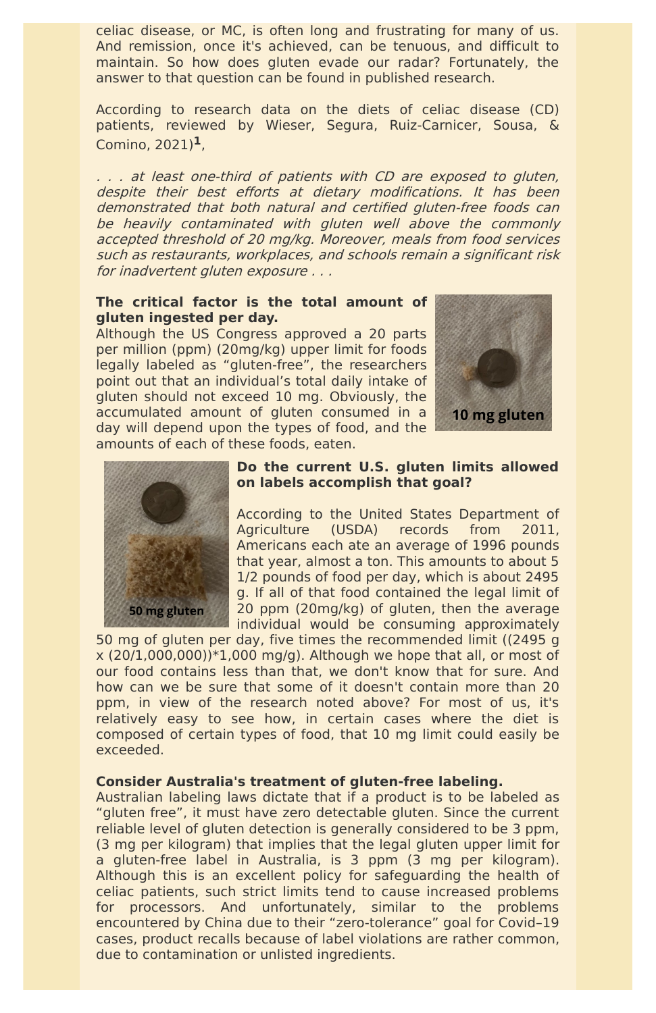celiac disease, or MC, is often long and frustrating for many of us. And remission, once it's achieved, can be tenuous, and difficult to maintain. So how does gluten evade our radar? Fortunately, the answer to that question can be found in published research.

According to research data on the diets of celiac disease (CD) patients, reviewed by Wieser, Segura, Ruiz-Carnicer, Sousa, & Comino, 2021) **1**,

. . . at least one-third of patients with CD are exposed to gluten, despite their best efforts at dietary modifications. It has been demonstrated that both natural and certified gluten-free foods can be heavily contaminated with gluten well above the commonly accepted threshold of 20 mg/kg. Moreover, meals from food services such as restaurants, workplaces, and schools remain <sup>a</sup> significant risk for inadvertent gluten exposure . . .

# **The critical factor is the total amount of gluten ingested per day.**

Although the US Congress approved a 20 parts per million (ppm) (20mg/kg) upper limit for foods legally labeled as "gluten-free", the researchers point out that an individual's total daily intake of gluten should not exceed 10 mg. Obviously, the accumulated amount of gluten consumed in a day will depend upon the types of food, and the amounts of each of these foods, eaten.





# **Do the current U.S. gluten limits allowed on labels accomplish that goal?**

According to the United States Department of Agriculture (USDA) records from 2011, Americans each ate an average of 1996 pounds that year, almost a ton. This amounts to about 5 1/2 pounds of food per day, which is about 2495 g. If all of that food contained the legal limit of 20 ppm (20mg/kg) of gluten, then the average individual would be consuming approximately

50 mg of gluten per day, five times the recommended limit ((2495 g  $x$  (20/1,000,000)) $*1,000$  mg/g). Although we hope that all, or most of our food contains less than that, we don't know that for sure. And how can we be sure that some of it doesn't contain more than 20 ppm, in view of the research noted above? For most of us, it's relatively easy to see how, in certain cases where the diet is composed of certain types of food, that 10 mg limit could easily be

#### exceeded.

### **Consider Australia's treatment of gluten-free labeling.**

Australian labeling laws dictate that if a product is to be labeled as "gluten free", it must have zero detectable gluten. Since the current reliable level of gluten detection is generally considered to be 3 ppm, (3 mg per kilogram) that implies that the legal gluten upper limit for a gluten-free label in Australia, is 3 ppm (3 mg per kilogram). Although this is an excellent policy for safeguarding the health of celiac patients, such strict limits tend to cause increased problems for processors. And unfortunately, similar to the problems encountered by China due to their "zero-tolerance" goal for Covid–19 cases, product recalls because of label violations are rather common, due to contamination or unlisted ingredients.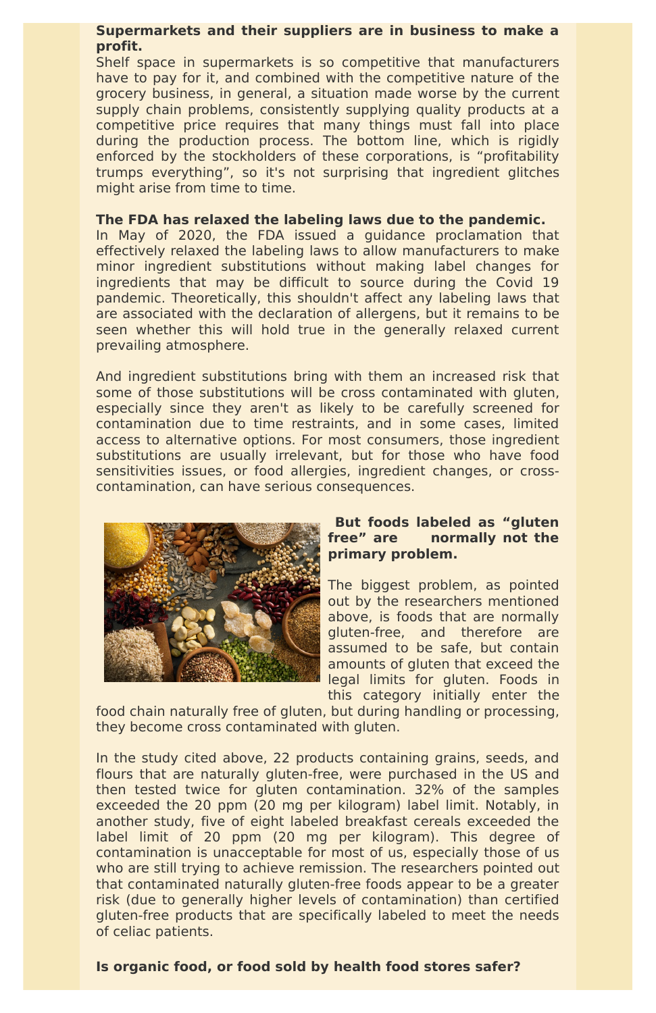# **Supermarkets and their suppliers are in business to make a profit.**

Shelf space in supermarkets is so competitive that manufacturers have to pay for it, and combined with the competitive nature of the grocery business, in general, a situation made worse by the current supply chain problems, consistently supplying quality products at a competitive price requires that many things must fall into place during the production process. The bottom line, which is rigidly enforced by the stockholders of these corporations, is "profitability trumps everything", so it's not surprising that ingredient glitches might arise from time to time.

#### **The FDA has relaxed the labeling laws due to the pandemic.**

In May of 2020, the FDA issued a guidance proclamation that effectively relaxed the labeling laws to allow manufacturers to make minor ingredient substitutions without making label changes for ingredients that may be difficult to source during the Covid 19 pandemic. Theoretically, this shouldn't affect any labeling laws that are associated with the declaration of allergens, but it remains to be seen whether this will hold true in the generally relaxed current prevailing atmosphere.

And ingredient substitutions bring with them an increased risk that some of those substitutions will be cross contaminated with gluten, especially since they aren't as likely to be carefully screened for contamination due to time restraints, and in some cases, limited access to alternative options. For most consumers, those ingredient substitutions are usually irrelevant, but for those who have food sensitivities issues, or food allergies, ingredient changes, or crosscontamination, can have serious consequences.



# **But foods labeled as "gluten free" are normally not the primary problem.**

The biggest problem, as pointed out by the researchers mentioned above, is foods that are normally gluten-free, and therefore are assumed to be safe, but contain amounts of gluten that exceed the legal limits for gluten. Foods in this category initially enter the

food chain naturally free of gluten, but during handling or processing, they become cross contaminated with gluten.

In the study cited above, 22 products containing grains, seeds, and flours that are naturally gluten-free, were purchased in the US and then tested twice for gluten contamination. 32% of the samples exceeded the 20 ppm (20 mg per kilogram) label limit. Notably, in another study, five of eight labeled breakfast cereals exceeded the label limit of 20 ppm (20 mg per kilogram). This degree of contamination is unacceptable for most of us, especially those of us who are still trying to achieve remission. The researchers pointed out that contaminated naturally gluten-free foods appear to be a greater risk (due to generally higher levels of contamination) than certified gluten-free products that are specifically labeled to meet the needs of celiac patients.

### **Is organic food, or food sold by health food stores safer?**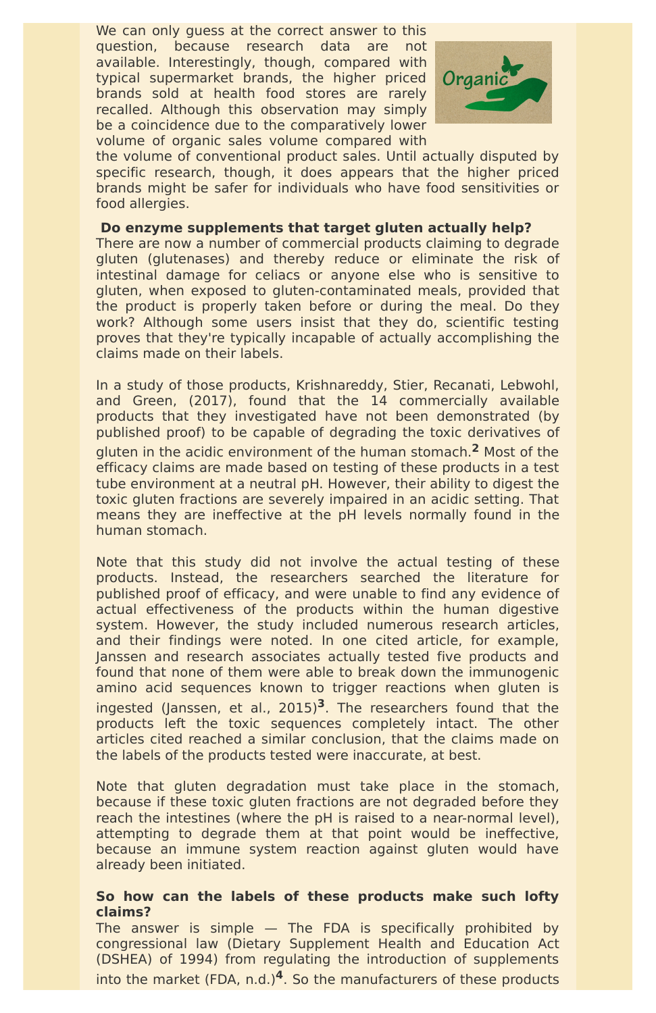We can only guess at the correct answer to this question, because research data are not available. Interestingly, though, compared with typical supermarket brands, the higher priced brands sold at health food stores are rarely recalled. Although this observation may simply be a coincidence due to the comparatively lower volume of organic sales volume compared with



the volume of conventional product sales. Until actually disputed by specific research, though, it does appears that the higher priced brands might be safer for individuals who have food sensitivities or food allergies.

# **Do enzyme supplements that target gluten actually help?**

There are now a number of commercial products claiming to degrade gluten (glutenases) and thereby reduce or eliminate the risk of intestinal damage for celiacs or anyone else who is sensitive to gluten, when exposed to gluten-contaminated meals, provided that the product is properly taken before or during the meal. Do they work? Although some users insist that they do, scientific testing proves that they're typically incapable of actually accomplishing the claims made on their labels.

In a study of those products, Krishnareddy, Stier, Recanati, Lebwohl, and Green, (2017), found that the 14 commercially available products that they investigated have not been demonstrated (by published proof) to be capable of degrading the toxic derivatives of gluten in the acidic environment of the human stomach. **<sup>2</sup>** Most of the efficacy claims are made based on testing of these products in a test tube environment at a neutral pH. However, their ability to digest the toxic gluten fractions are severely impaired in an acidic setting. That means they are ineffective at the pH levels normally found in the human stomach.

The answer is simple — The FDA is specifically prohibited by congressional law (Dietary Supplement Health and Education Act (DSHEA) of 1994) from regulating the introduction of supplements into the market (FDA, n.d.)<sup>4</sup>. So the manufacturers of these products

Note that this study did not involve the actual testing of these products. Instead, the researchers searched the literature for published proof of efficacy, and were unable to find any evidence of actual effectiveness of the products within the human digestive system. However, the study included numerous research articles, and their findings were noted. In one cited article, for example, Janssen and research associates actually tested five products and found that none of them were able to break down the immunogenic amino acid sequences known to trigger reactions when gluten is ingested (Janssen, et al., 2015) **<sup>3</sup>**. The researchers found that the products left the toxic sequences completely intact. The other articles cited reached a similar conclusion, that the claims made on

the labels of the products tested were inaccurate, at best.

Note that gluten degradation must take place in the stomach, because if these toxic gluten fractions are not degraded before they reach the intestines (where the pH is raised to a near-normal level), attempting to degrade them at that point would be ineffective, because an immune system reaction against gluten would have already been initiated.

# **So how can the labels of these products make such lofty claims?**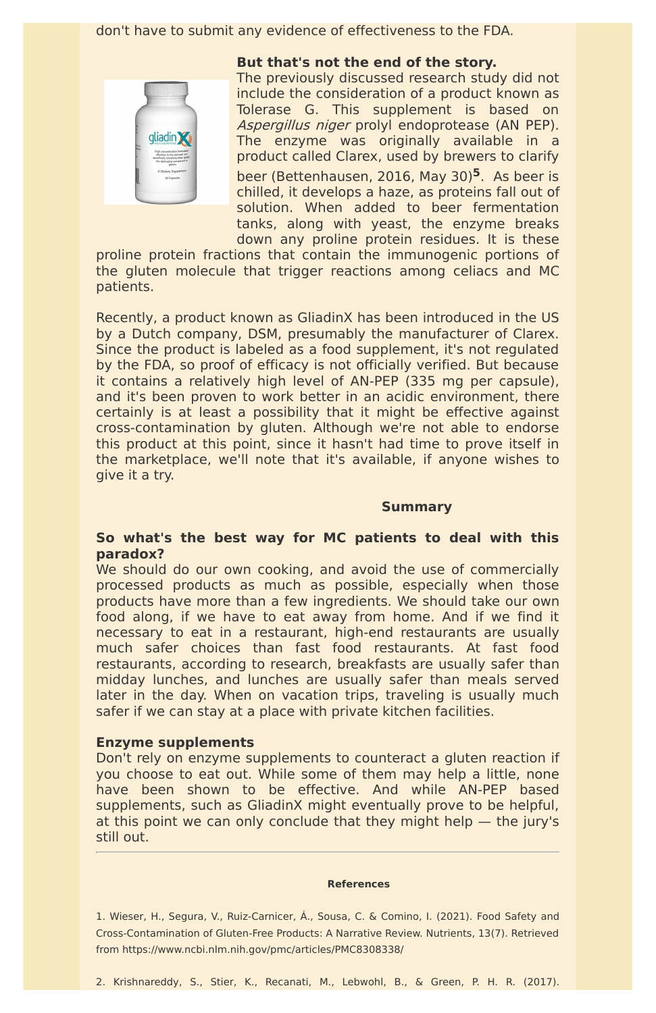don't have to submit any evidence of effectiveness to the FDA.



**But that's not the end of the story.**

The previously discussed research study did not include the consideration of a product known as Tolerase G. This supplement is based on Aspergillus niger prolyl endoprotease (AN PEP). The enzyme was originally available in a product called Clarex, used by brewers to clarify beer (Bettenhausen, 2016, May 30) **<sup>5</sup>**. As beer is chilled, it develops a haze, as proteins fall out of solution. When added to beer fermentation tanks, along with yeast, the enzyme breaks down any proline protein residues. It is these

proline protein fractions that contain the immunogenic portions of the gluten molecule that trigger reactions among celiacs and MC patients.

We should do our own cooking, and avoid the use of commercially processed products as much as possible, especially when those products have more than a few ingredients. We should take our own food along, if we have to eat away from home. And if we find it necessary to eat in a restaurant, high-end restaurants are usually much safer choices than fast food restaurants. At fast food restaurants, according to research, breakfasts are usually safer than midday lunches, and lunches are usually safer than meals served later in the day. When on vacation trips, traveling is usually much safer if we can stay at a place with private kitchen facilities.

Recently, a product known as GliadinX has been introduced in the US by a Dutch company, DSM, presumably the manufacturer of Clarex. Since the product is labeled as a food supplement, it's not regulated by the FDA, so proof of efficacy is not officially verified. But because it contains a relatively high level of AN-PEP (335 mg per capsule), and it's been proven to work better in an acidic environment, there certainly is at least a possibility that it might be effective against cross-contamination by gluten. Although we're not able to endorse this product at this point, since it hasn't had time to prove itself in the marketplace, we'll note that it's available, if anyone wishes to give it a try.

#### **Summary**

# **So what's the best way for MC patients to deal with this paradox?**

### **Enzyme supplements**

Don't rely on enzyme supplements to counteract a gluten reaction if you choose to eat out. While some of them may help a little, none have been shown to be effective. And while AN-PEP based supplements, such as GliadinX might eventually prove to be helpful, at this point we can only conclude that they might help — the jury's still out.

#### **References**

1. Wieser, H., Segura, V., Ruiz-Carnicer, Á., Sousa, C. & Comino, I. (2021). Food Safety and Cross-Contamination of Gluten-Free Products: A Narrative Review. Nutrients, 13(7). Retrieved from https://www.ncbi.nlm.nih.gov/pmc/articles/PMC8308338/

2. Krishnareddy, S., Stier, K., Recanati, M., Lebwohl, B., & Green, P. H. R. (2017).